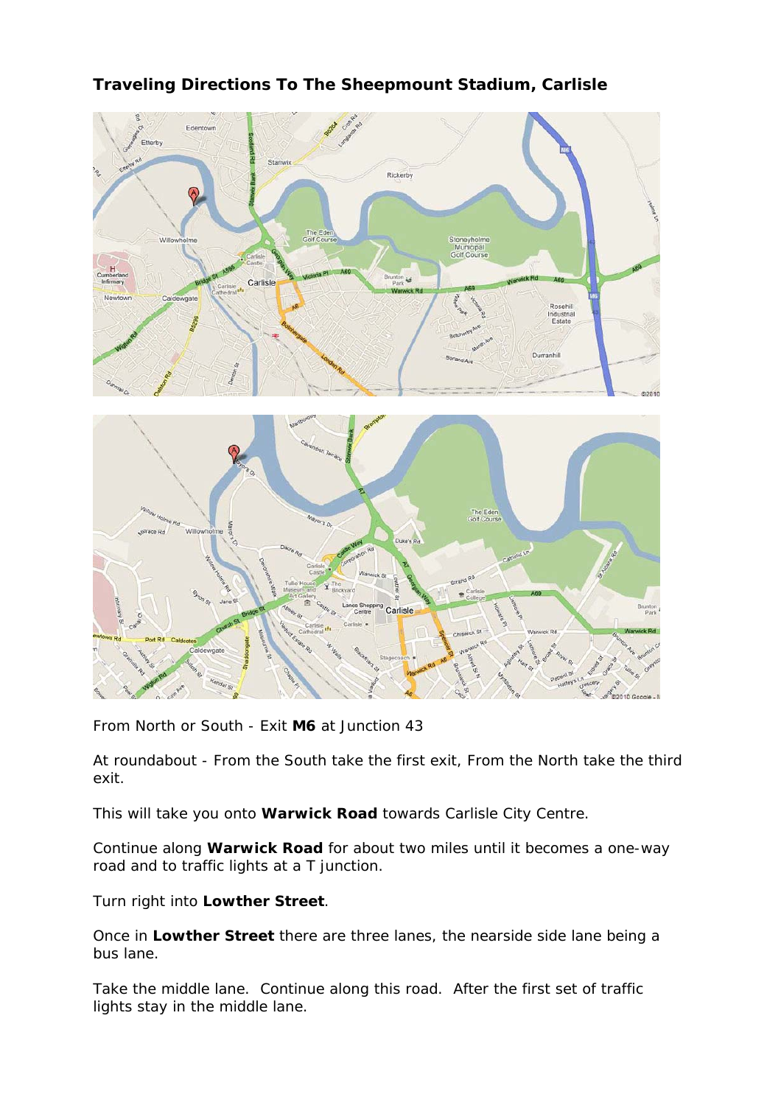

## **Traveling Directions To The Sheepmount Stadium, Carlisle**



From North or South - Exit **M6** at Junction 43

At roundabout - From the South take the first exit, From the North take the third exit.

This will take you onto **Warwick Road** towards Carlisle City Centre.

Continue along **Warwick Road** for about two miles until it becomes a one-way road and to traffic lights at a T junction.

Turn right into **Lowther Street**.

Once in **Lowther Street** there are three lanes, the nearside side lane being a bus lane.

Take the middle lane. Continue along this road. After the first set of traffic lights stay in the middle lane.